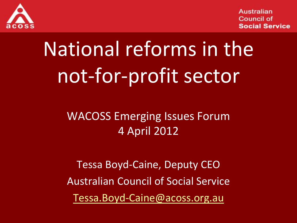

# National reforms in the not-for-profit sector

#### WACOSS Emerging Issues Forum 4 April 2012

Tessa Boyd-Caine, Deputy CEO Australian Council of Social Service [Tessa.Boyd-Caine@acoss.org.au](mailto:Tessa.Boyd-Caine@acoss.org.au)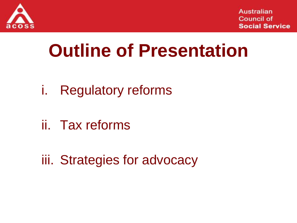

## **Outline of Presentation**

- i. Regulatory reforms
- ii. Tax reforms
- iii. Strategies for advocacy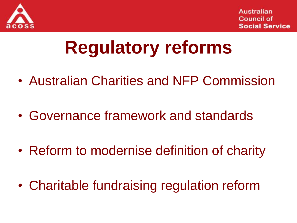

## **Regulatory reforms**

- Australian Charities and NFP Commission
- Governance framework and standards
- Reform to modernise definition of charity
- Charitable fundraising regulation reform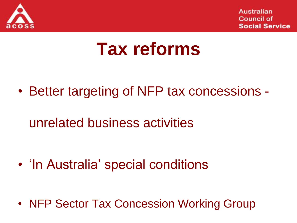

### **Tax reforms**

• Better targeting of NFP tax concessions -

unrelated business activities

• 'In Australia' special conditions

• NFP Sector Tax Concession Working Group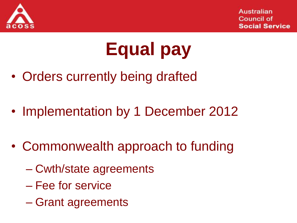

## **Equal pay**

- Orders currently being drafted
- Implementation by 1 December 2012
- Commonwealth approach to funding
	- Cwth/state agreements
	- Fee for service
	- Grant agreements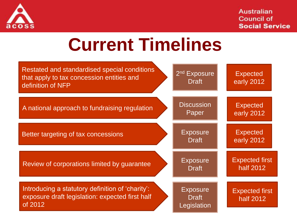

### **Current Timelines**

| Restated and standardised special conditions<br>that apply to tax concession entities and<br>definition of NFP | 2 <sup>nd</sup> Exposure<br><b>Draft</b>       | <b>Expected</b><br>early 2012      |
|----------------------------------------------------------------------------------------------------------------|------------------------------------------------|------------------------------------|
| A national approach to fundraising regulation                                                                  | <b>Discussion</b><br>Paper                     | <b>Expected</b><br>early 2012      |
| Better targeting of tax concessions                                                                            | <b>Exposure</b><br><b>Draft</b>                | <b>Expected</b><br>early 2012      |
| Review of corporations limited by guarantee                                                                    | <b>Exposure</b><br><b>Draft</b>                | <b>Expected first</b><br>half 2012 |
| Introducing a statutory definition of 'charity':<br>exposure draft legislation: expected first half<br>of 2012 | <b>Exposure</b><br><b>Draft</b><br>Legislation | <b>Expected first</b><br>half 2012 |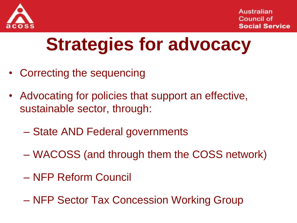

## **Strategies for advocacy**

- Correcting the sequencing
- Advocating for policies that support an effective, sustainable sector, through:
	- State AND Federal governments
	- WACOSS (and through them the COSS network)
	- NFP Reform Council
	- NFP Sector Tax Concession Working Group